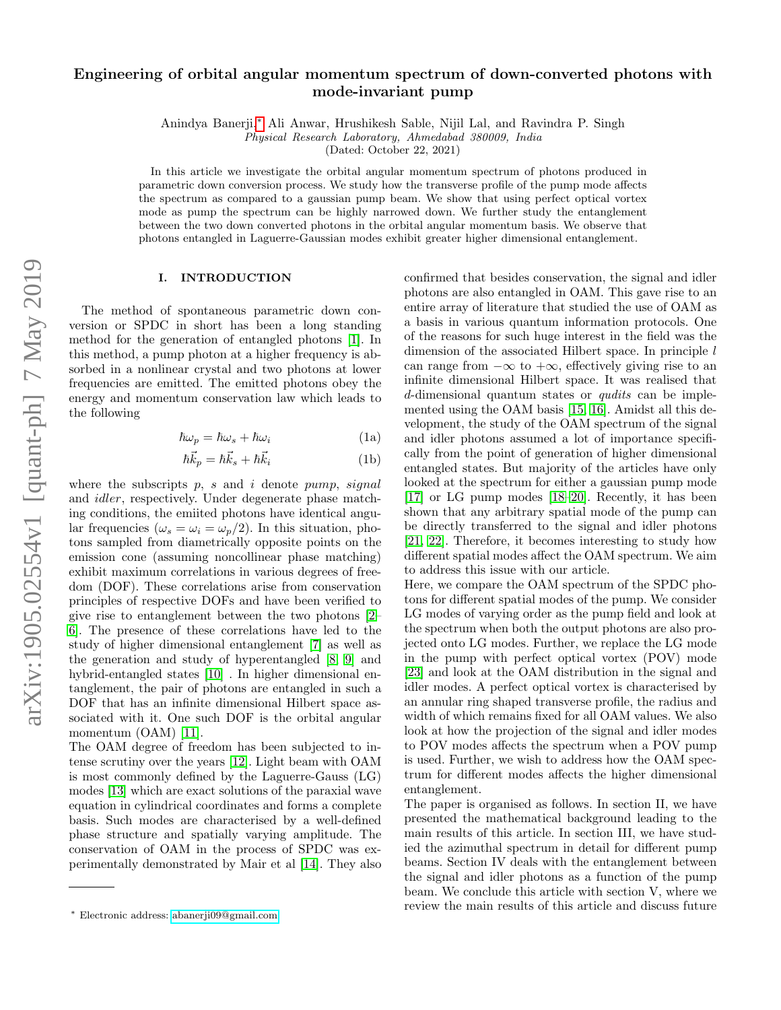# Engineering of orbital angular momentum spectrum of down-converted photons with mode-invariant pump

Anindya Banerji,[∗](#page-0-0) Ali Anwar, Hrushikesh Sable, Nijil Lal, and Ravindra P. Singh

Physical Research Laboratory, Ahmedabad 380009, India

(Dated: October 22, 2021)

In this article we investigate the orbital angular momentum spectrum of photons produced in parametric down conversion process. We study how the transverse profile of the pump mode affects the spectrum as compared to a gaussian pump beam. We show that using perfect optical vortex mode as pump the spectrum can be highly narrowed down. We further study the entanglement between the two down converted photons in the orbital angular momentum basis. We observe that photons entangled in Laguerre-Gaussian modes exhibit greater higher dimensional entanglement.

#### I. INTRODUCTION

The method of spontaneous parametric down conversion or SPDC in short has been a long standing method for the generation of entangled photons [\[1\]](#page-5-0). In this method, a pump photon at a higher frequency is absorbed in a nonlinear crystal and two photons at lower frequencies are emitted. The emitted photons obey the energy and momentum conservation law which leads to the following

$$
\hbar\omega_p = \hbar\omega_s + \hbar\omega_i \tag{1a}
$$

$$
\hbar \vec{k}_p = \hbar \vec{k}_s + \hbar \vec{k}_i \tag{1b}
$$

where the subscripts  $p$ ,  $s$  and  $i$  denote pump, signal and idler, respectively. Under degenerate phase matching conditions, the emiited photons have identical angular frequencies ( $\omega_s = \omega_i = \omega_p/2$ ). In this situation, photons sampled from diametrically opposite points on the emission cone (assuming noncollinear phase matching) exhibit maximum correlations in various degrees of freedom (DOF). These correlations arise from conservation principles of respective DOFs and have been verified to give rise to entanglement between the two photons [\[2–](#page-5-1) [6\]](#page-5-2). The presence of these correlations have led to the study of higher dimensional entanglement [\[7\]](#page-5-3) as well as the generation and study of hyperentangled [\[8,](#page-5-4) [9\]](#page-5-5) and hybrid-entangled states [\[10\]](#page-5-6) . In higher dimensional entanglement, the pair of photons are entangled in such a DOF that has an infinite dimensional Hilbert space associated with it. One such DOF is the orbital angular momentum (OAM) [\[11\]](#page-5-7).

The OAM degree of freedom has been subjected to intense scrutiny over the years [\[12\]](#page-5-8). Light beam with OAM is most commonly defined by the Laguerre-Gauss (LG) modes [\[13\]](#page-5-9) which are exact solutions of the paraxial wave equation in cylindrical coordinates and forms a complete basis. Such modes are characterised by a well-defined phase structure and spatially varying amplitude. The conservation of OAM in the process of SPDC was experimentally demonstrated by Mair et al [\[14\]](#page-5-10). They also <span id="page-0-1"></span>confirmed that besides conservation, the signal and idler photons are also entangled in OAM. This gave rise to an entire array of literature that studied the use of OAM as a basis in various quantum information protocols. One of the reasons for such huge interest in the field was the dimension of the associated Hilbert space. In principle l can range from  $-\infty$  to  $+\infty$ , effectively giving rise to an infinite dimensional Hilbert space. It was realised that d-dimensional quantum states or *qudits* can be implemented using the OAM basis [\[15,](#page-5-11) [16\]](#page-6-0). Amidst all this development, the study of the OAM spectrum of the signal and idler photons assumed a lot of importance specifically from the point of generation of higher dimensional entangled states. But majority of the articles have only looked at the spectrum for either a gaussian pump mode [\[17\]](#page-6-1) or LG pump modes [\[18–](#page-6-2)[20\]](#page-6-3). Recently, it has been shown that any arbitrary spatial mode of the pump can be directly transferred to the signal and idler photons [\[21,](#page-6-4) [22\]](#page-6-5). Therefore, it becomes interesting to study how different spatial modes affect the OAM spectrum. We aim to address this issue with our article.

Here, we compare the OAM spectrum of the SPDC photons for different spatial modes of the pump. We consider LG modes of varying order as the pump field and look at the spectrum when both the output photons are also projected onto LG modes. Further, we replace the LG mode in the pump with perfect optical vortex (POV) mode [\[23\]](#page-6-6) and look at the OAM distribution in the signal and idler modes. A perfect optical vortex is characterised by an annular ring shaped transverse profile, the radius and width of which remains fixed for all OAM values. We also look at how the projection of the signal and idler modes to POV modes affects the spectrum when a POV pump is used. Further, we wish to address how the OAM spectrum for different modes affects the higher dimensional entanglement.

The paper is organised as follows. In section II, we have presented the mathematical background leading to the main results of this article. In section III, we have studied the azimuthal spectrum in detail for different pump beams. Section IV deals with the entanglement between the signal and idler photons as a function of the pump beam. We conclude this article with section V, where we review the main results of this article and discuss future

<span id="page-0-0"></span><sup>∗</sup> Electronic address: [abanerji09@gmail.com](mailto:abanerji09@gmail.com)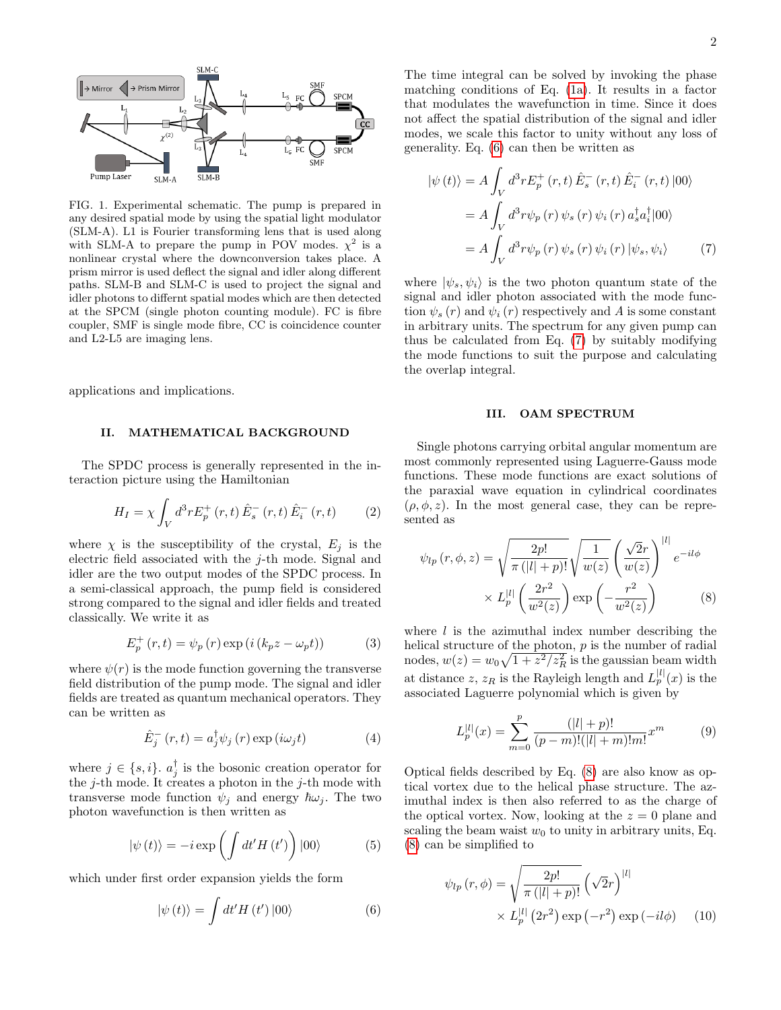

FIG. 1. Experimental schematic. The pump is prepared in any desired spatial mode by using the spatial light modulator (SLM-A). L1 is Fourier transforming lens that is used along with SLM-A to prepare the pump in POV modes.  $\chi^2$  is a nonlinear crystal where the downconversion takes place. A prism mirror is used deflect the signal and idler along different paths. SLM-B and SLM-C is used to project the signal and idler photons to differnt spatial modes which are then detected at the SPCM (single photon counting module). FC is fibre coupler, SMF is single mode fibre, CC is coincidence counter and L2-L5 are imaging lens.

applications and implications.

## II. MATHEMATICAL BACKGROUND

The SPDC process is generally represented in the interaction picture using the Hamiltonian

$$
H_{I} = \chi \int_{V} d^{3}r E_{p}^{+}(r, t) \hat{E}_{s}^{-}(r, t) \hat{E}_{i}^{-}(r, t)
$$
 (2)

where  $\chi$  is the susceptibility of the crystal,  $E_j$  is the electric field associated with the j-th mode. Signal and idler are the two output modes of the SPDC process. In a semi-classical approach, the pump field is considered strong compared to the signal and idler fields and treated classically. We write it as

$$
E_p^+(r,t) = \psi_p(r) \exp(i(k_p z - \omega_p t))
$$
 (3)

where  $\psi(r)$  is the mode function governing the transverse field distribution of the pump mode. The signal and idler fields are treated as quantum mechanical operators. They can be written as

$$
\hat{E}_j^-(r,t) = a_j^{\dagger} \psi_j(r) \exp(i\omega_j t)
$$
\n(4)

where  $j \in \{s, i\}$ .  $a_j^{\dagger}$  is the bosonic creation operator for the  $j$ -th mode. It creates a photon in the  $j$ -th mode with transverse mode function  $\psi_j$  and energy  $\hbar\omega_j$ . The two photon wavefunction is then written as

$$
|\psi(t)\rangle = -i \exp\left(\int dt' H\left(t'\right)\right)|00\rangle \tag{5}
$$

which under first order expansion yields the form

<span id="page-1-0"></span>
$$
|\psi(t)\rangle = \int dt' H(t') |00\rangle \tag{6}
$$

The time integral can be solved by invoking the phase matching conditions of Eq. [\(1a\)](#page-0-1). It results in a factor that modulates the wavefunction in time. Since it does not affect the spatial distribution of the signal and idler modes, we scale this factor to unity without any loss of generality. Eq. [\(6\)](#page-1-0) can then be written as

<span id="page-1-1"></span>
$$
|\psi(t)\rangle = A \int_V d^3r E_p^+(r,t) \hat{E}_s^-(r,t) \hat{E}_i^-(r,t) |00\rangle
$$
  

$$
= A \int_V d^3r \psi_p(r) \psi_s(r) \psi_i(r) a_s^\dagger a_i^\dagger |00\rangle
$$
  

$$
= A \int_V d^3r \psi_p(r) \psi_s(r) \psi_i(r) |\psi_s, \psi_i\rangle
$$
 (7)

where  $|\psi_s, \psi_i\rangle$  is the two photon quantum state of the signal and idler photon associated with the mode function  $\psi_s(r)$  and  $\psi_i(r)$  respectively and A is some constant in arbitrary units. The spectrum for any given pump can thus be calculated from Eq. [\(7\)](#page-1-1) by suitably modifying the mode functions to suit the purpose and calculating the overlap integral.

## III. OAM SPECTRUM

Single photons carrying orbital angular momentum are most commonly represented using Laguerre-Gauss mode functions. These mode functions are exact solutions of the paraxial wave equation in cylindrical coordinates  $(\rho, \phi, z)$ . In the most general case, they can be represented as

<span id="page-1-2"></span>
$$
\psi_{lp}(r,\phi,z) = \sqrt{\frac{2p!}{\pi (|l|+p)!}} \sqrt{\frac{1}{w(z)}} \left(\frac{\sqrt{2}r}{w(z)}\right)^{|l|} e^{-il\phi}
$$

$$
\times L_p^{|l|} \left(\frac{2r^2}{w^2(z)}\right) \exp\left(-\frac{r^2}{w^2(z)}\right) \tag{8}
$$

where  $l$  is the azimuthal index number describing the helical structure of the photon,  $p$  is the number of radial nodes,  $w(z) = w_0 \sqrt{1 + z^2/z_R^2}$  is the gaussian beam width at distance z,  $z_R$  is the Rayleigh length and  $L_p^{|l|}(x)$  is the associated Laguerre polynomial which is given by

$$
L_p^{|l|}(x) = \sum_{m=0}^p \frac{(|l|+p)!}{(p-m)!(|l|+m)!m!} x^m
$$
 (9)

Optical fields described by Eq. [\(8\)](#page-1-2) are also know as optical vortex due to the helical phase structure. The azimuthal index is then also referred to as the charge of the optical vortex. Now, looking at the  $z = 0$  plane and scaling the beam waist  $w_0$  to unity in arbitrary units, Eq. [\(8\)](#page-1-2) can be simplified to

<span id="page-1-3"></span>
$$
\psi_{lp}(r,\phi) = \sqrt{\frac{2p!}{\pi (|l|+p)!}} \left(\sqrt{2}r\right)^{|l|} \times L_p^{|l|} \left(2r^2\right) \exp\left(-r^2\right) \exp\left(-i l \phi\right) \tag{10}
$$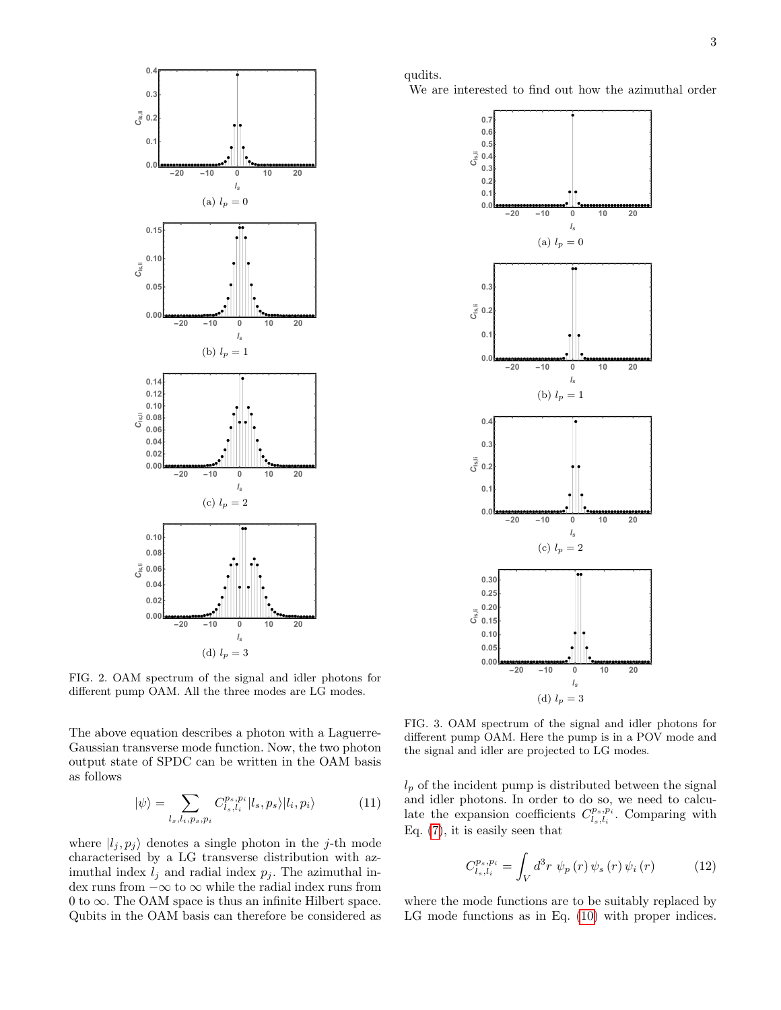

<span id="page-2-1"></span>FIG. 2. OAM spectrum of the signal and idler photons for different pump OAM. All the three modes are LG modes.

The above equation describes a photon with a Laguerre-Gaussian transverse mode function. Now, the two photon output state of SPDC can be written in the OAM basis as follows

<span id="page-2-3"></span>
$$
|\psi\rangle = \sum_{l_s, l_i, p_s, p_i} C_{l_s, l_i}^{p_s, p_i} |l_s, p_s\rangle |l_i, p_i\rangle \tag{11}
$$

where  $|l_j, p_j\rangle$  denotes a single photon in the j-th mode characterised by a LG transverse distribution with azimuthal index  $l_j$  and radial index  $p_j$ . The azimuthal index runs from  $-\infty$  to  $\infty$  while the radial index runs from 0 to  $\infty$ . The OAM space is thus an infinite Hilbert space. Qubits in the OAM basis can therefore be considered as

qudits.

We are interested to find out how the azimuthal order



<span id="page-2-2"></span>FIG. 3. OAM spectrum of the signal and idler photons for different pump OAM. Here the pump is in a POV mode and the signal and idler are projected to LG modes.

 $l_p$  of the incident pump is distributed between the signal and idler photons. In order to do so, we need to calculate the expansion coefficients  $C_{l_s,l_i}^{p_s,p_i}$ . Comparing with Eq. [\(7\)](#page-1-1), it is easily seen that

<span id="page-2-0"></span>
$$
C_{l_s,l_i}^{p_s,p_i} = \int_V d^3r \, \psi_p(r) \, \psi_s(r) \, \psi_i(r) \tag{12}
$$

where the mode functions are to be suitably replaced by LG mode functions as in Eq.  $(10)$  with proper indices.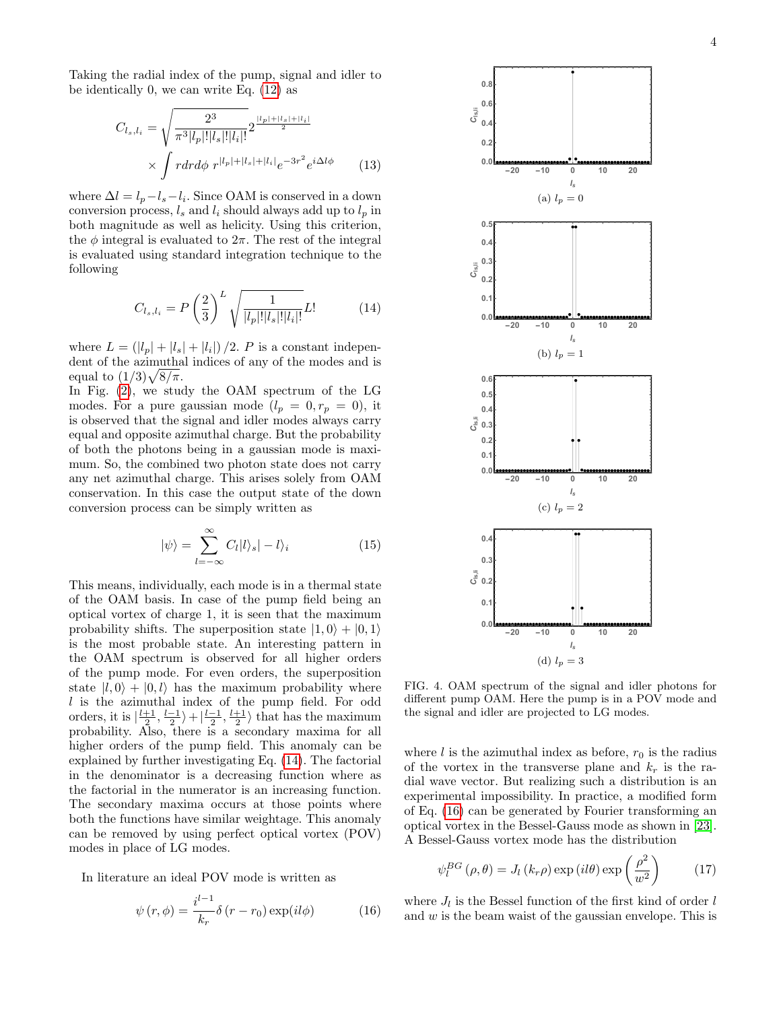Taking the radial index of the pump, signal and idler to be identically 0, we can write Eq. [\(12\)](#page-2-0) as

$$
C_{l_s,l_i} = \sqrt{\frac{2^3}{\pi^3 |l_p|! |l_s|! |l_i|!}} 2^{\frac{|l_p| + |l_s| + |l_i|}{2}}
$$

$$
\times \int r dr d\phi \ r^{|l_p| + |l_s| + |l_i|} e^{-3r^2} e^{i\Delta l\phi} \qquad (13)
$$

where  $\Delta l = l_p - l_s - l_i$ . Since OAM is conserved in a down conversion process,  $l_s$  and  $l_i$  should always add up to  $l_p$  in both magnitude as well as helicity. Using this criterion, the  $\phi$  integral is evaluated to  $2\pi$ . The rest of the integral is evaluated using standard integration technique to the following

<span id="page-3-0"></span>
$$
C_{l_s,l_i} = P\left(\frac{2}{3}\right)^L \sqrt{\frac{1}{|l_p|!|l_s|!|l_i|!}} L! \tag{14}
$$

where  $L = (|l_p| + |l_s| + |l_i|)/2$ . P is a constant independent of the azimuthal indices of any of the modes and is equal to  $(1/3)\sqrt{8/\pi}$ .

In Fig. [\(2\)](#page-2-1), we study the OAM spectrum of the LG modes. For a pure gaussian mode  $(l_p = 0, r_p = 0)$ , it is observed that the signal and idler modes always carry equal and opposite azimuthal charge. But the probability of both the photons being in a gaussian mode is maximum. So, the combined two photon state does not carry any net azimuthal charge. This arises solely from OAM conservation. In this case the output state of the down conversion process can be simply written as

$$
|\psi\rangle = \sum_{l=-\infty}^{\infty} C_l |l\rangle_s | - l\rangle_i
$$
 (15)

This means, individually, each mode is in a thermal state of the OAM basis. In case of the pump field being an optical vortex of charge 1, it is seen that the maximum probability shifts. The superposition state  $|1, 0\rangle + |0, 1\rangle$ is the most probable state. An interesting pattern in the OAM spectrum is observed for all higher orders of the pump mode. For even orders, the superposition state  $|l, 0\rangle + |0, l\rangle$  has the maximum probability where  $l$  is the azimuthal index of the pump field. For odd orders, it is  $\left|\frac{l+1}{2},\frac{l-1}{2}\right\rangle+\left|\frac{l-1}{2},\frac{l+1}{2}\right\rangle$  that has the maximum probability. Also, there is a secondary maxima for all higher orders of the pump field. This anomaly can be explained by further investigating Eq. [\(14\)](#page-3-0). The factorial in the denominator is a decreasing function where as the factorial in the numerator is an increasing function. The secondary maxima occurs at those points where both the functions have similar weightage. This anomaly can be removed by using perfect optical vortex (POV) modes in place of LG modes.

In literature an ideal POV mode is written as

<span id="page-3-1"></span>
$$
\psi(r,\phi) = \frac{i^{l-1}}{k_r} \delta(r - r_0) \exp(il\phi)
$$
 (16)



<span id="page-3-3"></span>FIG. 4. OAM spectrum of the signal and idler photons for different pump OAM. Here the pump is in a POV mode and the signal and idler are projected to LG modes.

where l is the azimuthal index as before,  $r_0$  is the radius of the vortex in the transverse plane and  $k_r$  is the radial wave vector. But realizing such a distribution is an experimental impossibility. In practice, a modified form of Eq. [\(16\)](#page-3-1) can be generated by Fourier transforming an optical vortex in the Bessel-Gauss mode as shown in [\[23\]](#page-6-6). A Bessel-Gauss vortex mode has the distribution

<span id="page-3-2"></span>
$$
\psi_l^{BG}(\rho,\theta) = J_l(k_r \rho) \exp\left(i l \theta\right) \exp\left(\frac{\rho^2}{w^2}\right) \tag{17}
$$

where  $J_l$  is the Bessel function of the first kind of order  $l$ and w is the beam waist of the gaussian envelope. This is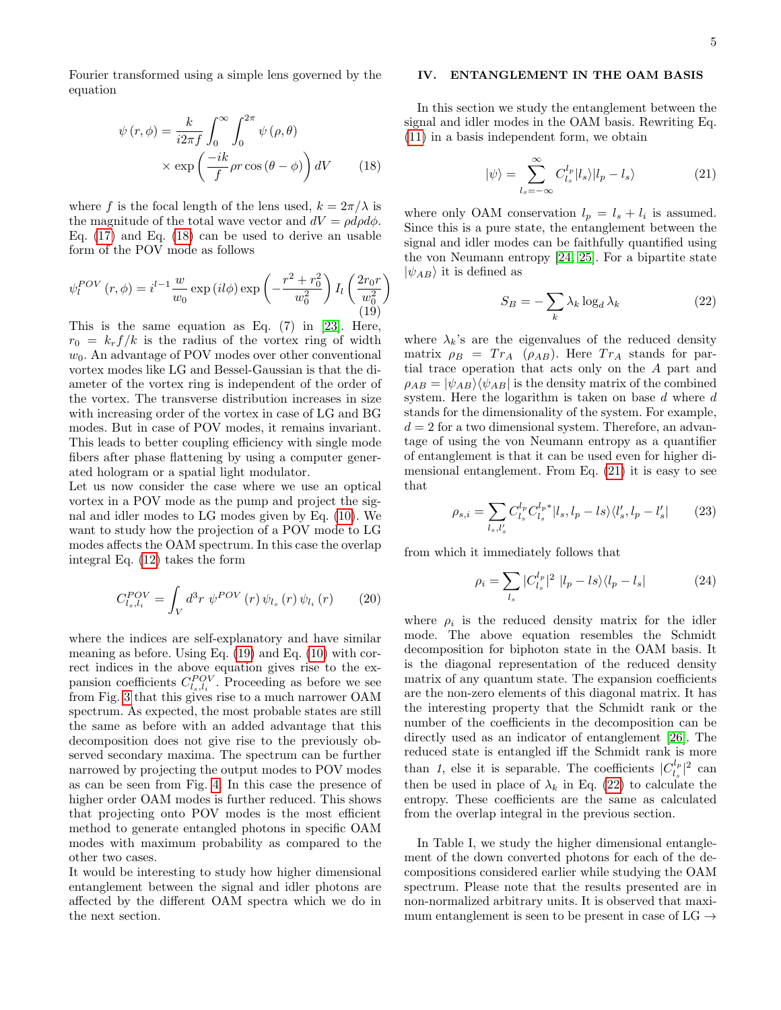Fourier transformed using a simple lens governed by the equation

<span id="page-4-0"></span>
$$
\psi(r,\phi) = \frac{k}{i2\pi f} \int_0^\infty \int_0^{2\pi} \psi(\rho,\theta) \times \exp\left(\frac{-ik}{f}\rho r \cos(\theta-\phi)\right) dV \qquad (18)
$$

where f is the focal length of the lens used,  $k = 2\pi/\lambda$  is the magnitude of the total wave vector and  $dV = \rho d\rho d\phi$ . Eq. [\(17\)](#page-3-2) and Eq. [\(18\)](#page-4-0) can be used to derive an usable form of the POV mode as follows

<span id="page-4-1"></span>
$$
\psi_l^{POV}(r,\phi) = i^{l-1} \frac{w}{w_0} \exp\left(il\phi\right) \exp\left(-\frac{r^2 + r_0^2}{w_0^2}\right) I_l\left(\frac{2r_0r}{w_0^2}\right)
$$
\n(19)

This is the same equation as Eq. (7) in [\[23\]](#page-6-6). Here,  $r_0 = k_r f/k$  is the radius of the vortex ring of width  $w_0$ . An advantage of POV modes over other conventional vortex modes like LG and Bessel-Gaussian is that the diameter of the vortex ring is independent of the order of the vortex. The transverse distribution increases in size with increasing order of the vortex in case of LG and BG modes. But in case of POV modes, it remains invariant. This leads to better coupling efficiency with single mode fibers after phase flattening by using a computer generated hologram or a spatial light modulator.

Let us now consider the case where we use an optical vortex in a POV mode as the pump and project the signal and idler modes to LG modes given by Eq. [\(10\)](#page-1-3). We want to study how the projection of a POV mode to LG modes affects the OAM spectrum. In this case the overlap integral Eq. [\(12\)](#page-2-0) takes the form

$$
C_{l_s,l_i}^{POV} = \int_V d^3r \, \psi^{POV}(r) \, \psi_{l_s}(r) \, \psi_{l_i}(r) \qquad (20)
$$

where the indices are self-explanatory and have similar meaning as before. Using Eq. [\(19\)](#page-4-1) and Eq. [\(10\)](#page-1-3) with correct indices in the above equation gives rise to the expansion coefficients  $C_{l_s,l_i}^{POV}$ . Proceeding as before we see from Fig. [3](#page-2-2) that this gives rise to a much narrower OAM spectrum. As expected, the most probable states are still the same as before with an added advantage that this decomposition does not give rise to the previously observed secondary maxima. The spectrum can be further narrowed by projecting the output modes to POV modes as can be seen from Fig. [4.](#page-3-3) In this case the presence of higher order OAM modes is further reduced. This shows that projecting onto POV modes is the most efficient method to generate entangled photons in specific OAM modes with maximum probability as compared to the other two cases.

It would be interesting to study how higher dimensional entanglement between the signal and idler photons are affected by the different OAM spectra which we do in the next section.

## IV. ENTANGLEMENT IN THE OAM BASIS

In this section we study the entanglement between the signal and idler modes in the OAM basis. Rewriting Eq. [\(11\)](#page-2-3) in a basis independent form, we obtain

<span id="page-4-2"></span>
$$
|\psi\rangle = \sum_{l_s = -\infty}^{\infty} C_{l_s}^{l_p} |l_s\rangle |l_p - l_s\rangle \tag{21}
$$

where only OAM conservation  $l_p = l_s + l_i$  is assumed. Since this is a pure state, the entanglement between the signal and idler modes can be faithfully quantified using the von Neumann entropy [\[24,](#page-6-7) [25\]](#page-6-8). For a bipartite state  $|\psi_{AB}\rangle$  it is defined as

<span id="page-4-3"></span>
$$
S_B = -\sum_k \lambda_k \log_d \lambda_k \tag{22}
$$

where  $\lambda_k$ 's are the eigenvalues of the reduced density matrix  $\rho_B = Tr_A (\rho_{AB})$ . Here  $Tr_A$  stands for partial trace operation that acts only on the A part and  $\rho_{AB} = |\psi_{AB}\rangle\langle\psi_{AB}|\$  is the density matrix of the combined system. Here the logarithm is taken on base d where d stands for the dimensionality of the system. For example,  $d = 2$  for a two dimensional system. Therefore, an advantage of using the von Neumann entropy as a quantifier of entanglement is that it can be used even for higher dimensional entanglement. From Eq. [\(21\)](#page-4-2) it is easy to see that

$$
\rho_{s,i} = \sum_{l_s, l'_s} C_{l_s}^{l_p} C_{l_s}^{l_p*} |l_s, l_p - ls \rangle \langle l'_s, l_p - l'_s|
$$
 (23)

from which it immediately follows that

$$
\rho_i = \sum_{l_s} |C_{l_s}^{l_p}|^2 |l_p - ls\rangle\langle l_p - l_s| \tag{24}
$$

where  $\rho_i$  is the reduced density matrix for the idler mode. The above equation resembles the Schmidt decomposition for biphoton state in the OAM basis. It is the diagonal representation of the reduced density matrix of any quantum state. The expansion coefficients are the non-zero elements of this diagonal matrix. It has the interesting property that the Schmidt rank or the number of the coefficients in the decomposition can be directly used as an indicator of entanglement [\[26\]](#page-6-9). The reduced state is entangled iff the Schmidt rank is more than 1, else it is separable. The coefficients  $|C_i^{\ell_p}$  $\frac{d_p}{l_s} \rvert^2$  can then be used in place of  $\lambda_k$  in Eq. [\(22\)](#page-4-3) to calculate the entropy. These coefficients are the same as calculated from the overlap integral in the previous section.

In Table I, we study the higher dimensional entanglement of the down converted photons for each of the decompositions considered earlier while studying the OAM spectrum. Please note that the results presented are in non-normalized arbitrary units. It is observed that maximum entanglement is seen to be present in case of  $LG \rightarrow$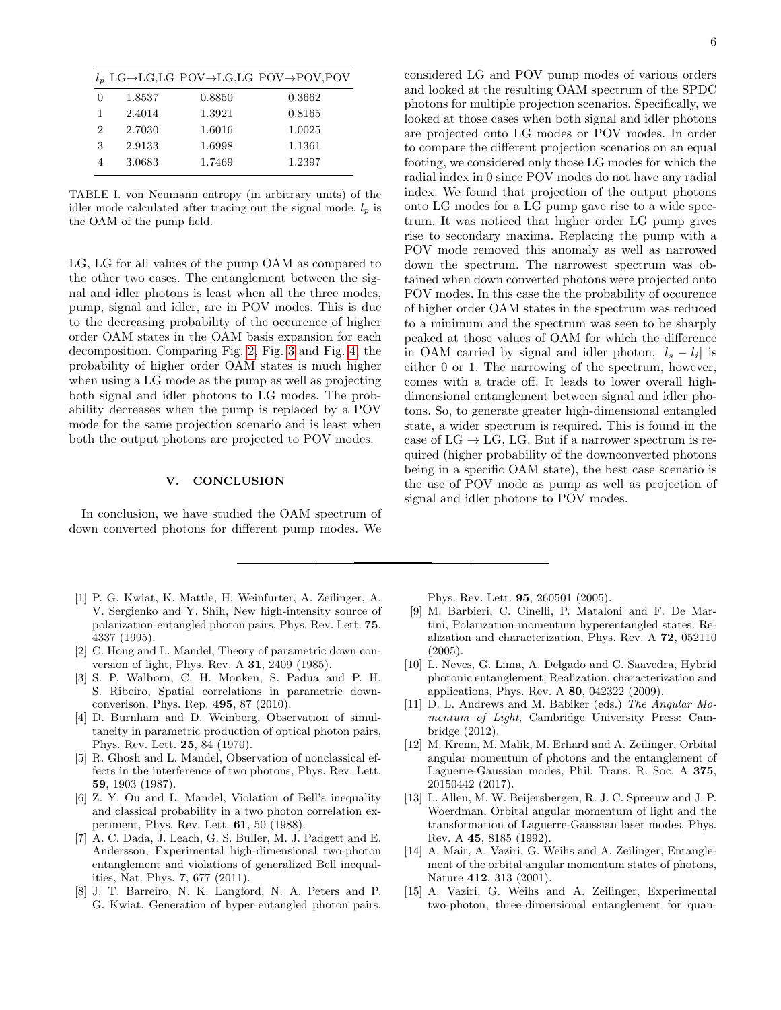|   |        |        | $l_p$ LG $\rightarrow$ LG,LG POV $\rightarrow$ LG,LG POV $\rightarrow$ POV,POV |
|---|--------|--------|--------------------------------------------------------------------------------|
| 0 | 1.8537 | 0.8850 | 0.3662                                                                         |
| 1 | 2.4014 | 1.3921 | 0.8165                                                                         |
| 2 | 2.7030 | 1.6016 | 1.0025                                                                         |
| 3 | 2.9133 | 1.6998 | 1.1361                                                                         |
|   | 3.0683 | 1.7469 | 1.2397                                                                         |

TABLE I. von Neumann entropy (in arbitrary units) of the idler mode calculated after tracing out the signal mode.  $l_p$  is the OAM of the pump field.

LG, LG for all values of the pump OAM as compared to the other two cases. The entanglement between the signal and idler photons is least when all the three modes, pump, signal and idler, are in POV modes. This is due to the decreasing probability of the occurence of higher order OAM states in the OAM basis expansion for each decomposition. Comparing Fig. [2,](#page-2-1) Fig. [3](#page-2-2) and Fig. [4,](#page-3-3) the probability of higher order OAM states is much higher when using a LG mode as the pump as well as projecting both signal and idler photons to LG modes. The probability decreases when the pump is replaced by a POV mode for the same projection scenario and is least when both the output photons are projected to POV modes.

# V. CONCLUSION

In conclusion, we have studied the OAM spectrum of down converted photons for different pump modes. We

- <span id="page-5-0"></span>[1] P. G. Kwiat, K. Mattle, H. Weinfurter, A. Zeilinger, A. V. Sergienko and Y. Shih, New high-intensity source of polarization-entangled photon pairs, Phys. Rev. Lett. 75, 4337 (1995).
- <span id="page-5-1"></span>[2] C. Hong and L. Mandel, Theory of parametric down conversion of light, Phys. Rev. A 31, 2409 (1985).
- [3] S. P. Walborn, C. H. Monken, S. Padua and P. H. S. Ribeiro, Spatial correlations in parametric downconverison, Phys. Rep. 495, 87 (2010).
- [4] D. Burnham and D. Weinberg, Observation of simultaneity in parametric production of optical photon pairs, Phys. Rev. Lett. 25, 84 (1970).
- [5] R. Ghosh and L. Mandel, Observation of nonclassical effects in the interference of two photons, Phys. Rev. Lett. 59, 1903 (1987).
- <span id="page-5-2"></span>[6] Z. Y. Ou and L. Mandel, Violation of Bell's inequality and classical probability in a two photon correlation experiment, Phys. Rev. Lett. 61, 50 (1988).
- <span id="page-5-3"></span>[7] A. C. Dada, J. Leach, G. S. Buller, M. J. Padgett and E. Andersson, Experimental high-dimensional two-photon entanglement and violations of generalized Bell inequalities, Nat. Phys. 7, 677 (2011).
- <span id="page-5-4"></span>[8] J. T. Barreiro, N. K. Langford, N. A. Peters and P. G. Kwiat, Generation of hyper-entangled photon pairs,

considered LG and POV pump modes of various orders and looked at the resulting OAM spectrum of the SPDC photons for multiple projection scenarios. Specifically, we looked at those cases when both signal and idler photons are projected onto LG modes or POV modes. In order to compare the different projection scenarios on an equal footing, we considered only those LG modes for which the radial index in 0 since POV modes do not have any radial index. We found that projection of the output photons onto LG modes for a LG pump gave rise to a wide spectrum. It was noticed that higher order LG pump gives rise to secondary maxima. Replacing the pump with a POV mode removed this anomaly as well as narrowed down the spectrum. The narrowest spectrum was obtained when down converted photons were projected onto POV modes. In this case the the probability of occurence of higher order OAM states in the spectrum was reduced to a minimum and the spectrum was seen to be sharply peaked at those values of OAM for which the difference in OAM carried by signal and idler photon,  $|l_s - l_i|$  is either 0 or 1. The narrowing of the spectrum, however, comes with a trade off. It leads to lower overall highdimensional entanglement between signal and idler photons. So, to generate greater high-dimensional entangled state, a wider spectrum is required. This is found in the case of  $LG \to LG$ , LG. But if a narrower spectrum is required (higher probability of the downconverted photons being in a specific OAM state), the best case scenario is the use of POV mode as pump as well as projection of signal and idler photons to POV modes.

Phys. Rev. Lett. 95, 260501 (2005).

- <span id="page-5-5"></span>[9] M. Barbieri, C. Cinelli, P. Mataloni and F. De Martini, Polarization-momentum hyperentangled states: Realization and characterization, Phys. Rev. A 72, 052110 (2005).
- <span id="page-5-6"></span>[10] L. Neves, G. Lima, A. Delgado and C. Saavedra, Hybrid photonic entanglement: Realization, characterization and applications, Phys. Rev. A 80, 042322 (2009).
- <span id="page-5-7"></span>[11] D. L. Andrews and M. Babiker (eds.) The Angular Momentum of Light, Cambridge University Press: Cambridge (2012).
- <span id="page-5-8"></span>[12] M. Krenn, M. Malik, M. Erhard and A. Zeilinger, Orbital angular momentum of photons and the entanglement of Laguerre-Gaussian modes, Phil. Trans. R. Soc. A 375, 20150442 (2017).
- <span id="page-5-9"></span>[13] L. Allen, M. W. Beijersbergen, R. J. C. Spreeuw and J. P. Woerdman, Orbital angular momentum of light and the transformation of Laguerre-Gaussian laser modes, Phys. Rev. A 45, 8185 (1992).
- <span id="page-5-10"></span>[14] A. Mair, A. Vaziri, G. Weihs and A. Zeilinger, Entanglement of the orbital angular momentum states of photons, Nature 412, 313 (2001).
- <span id="page-5-11"></span>[15] A. Vaziri, G. Weihs and A. Zeilinger, Experimental two-photon, three-dimensional entanglement for quan-